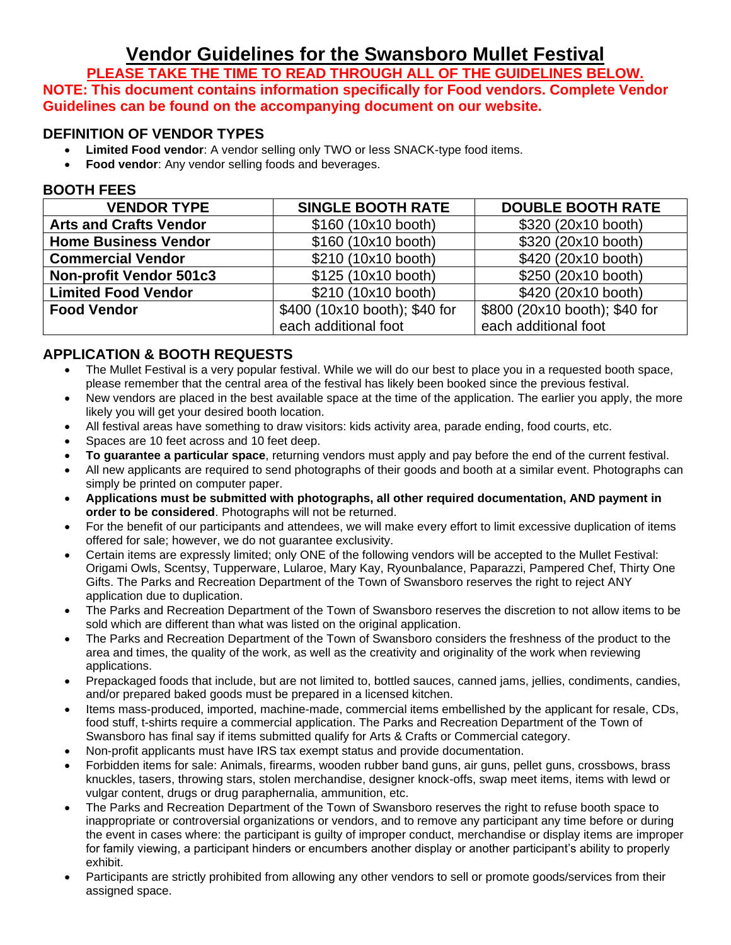# **Vendor Guidelines for the Swansboro Mullet Festival**

**PLEASE TAKE THE TIME TO READ THROUGH ALL OF THE GUIDELINES BELOW. NOTE: This document contains information specifically for Food vendors. Complete Vendor Guidelines can be found on the accompanying document on our website.**

#### **DEFINITION OF VENDOR TYPES**

- **Limited Food vendor**: A vendor selling only TWO or less SNACK-type food items.
- **Food vendor:** Any vendor selling foods and beverages.

#### **BOOTH FEES**

| <b>VENDOR TYPE</b>             | <b>SINGLE BOOTH RATE</b>      | <b>DOUBLE BOOTH RATE</b>      |
|--------------------------------|-------------------------------|-------------------------------|
| <b>Arts and Crafts Vendor</b>  | \$160 (10x10 booth)           | \$320 (20x10 booth)           |
| <b>Home Business Vendor</b>    | \$160 (10x10 booth)           | \$320 (20x10 booth)           |
| <b>Commercial Vendor</b>       | \$210 (10x10 booth)           | \$420 (20x10 booth)           |
| <b>Non-profit Vendor 501c3</b> | \$125 (10x10 booth)           | \$250 (20x10 booth)           |
| <b>Limited Food Vendor</b>     | \$210 (10x10 booth)           | \$420 (20x10 booth)           |
| <b>Food Vendor</b>             | \$400 (10x10 booth); \$40 for | \$800 (20x10 booth); \$40 for |
|                                | each additional foot          | each additional foot          |

# **APPLICATION & BOOTH REQUESTS**

- The Mullet Festival is a very popular festival. While we will do our best to place you in a requested booth space, please remember that the central area of the festival has likely been booked since the previous festival.
- New vendors are placed in the best available space at the time of the application. The earlier you apply, the more likely you will get your desired booth location.
- All festival areas have something to draw visitors: kids activity area, parade ending, food courts, etc.
- Spaces are 10 feet across and 10 feet deep.
- **To guarantee a particular space**, returning vendors must apply and pay before the end of the current festival.
- All new applicants are required to send photographs of their goods and booth at a similar event. Photographs can simply be printed on computer paper.
- **Applications must be submitted with photographs, all other required documentation, AND payment in order to be considered**. Photographs will not be returned.
- For the benefit of our participants and attendees, we will make every effort to limit excessive duplication of items offered for sale; however, we do not guarantee exclusivity.
- Certain items are expressly limited; only ONE of the following vendors will be accepted to the Mullet Festival: Origami Owls, Scentsy, Tupperware, Lularoe, Mary Kay, Ryounbalance, Paparazzi, Pampered Chef, Thirty One Gifts. The Parks and Recreation Department of the Town of Swansboro reserves the right to reject ANY application due to duplication.
- The Parks and Recreation Department of the Town of Swansboro reserves the discretion to not allow items to be sold which are different than what was listed on the original application.
- The Parks and Recreation Department of the Town of Swansboro considers the freshness of the product to the area and times, the quality of the work, as well as the creativity and originality of the work when reviewing applications.
- Prepackaged foods that include, but are not limited to, bottled sauces, canned jams, jellies, condiments, candies, and/or prepared baked goods must be prepared in a licensed kitchen.
- Items mass-produced, imported, machine-made, commercial items embellished by the applicant for resale, CDs, food stuff, t-shirts require a commercial application. The Parks and Recreation Department of the Town of Swansboro has final say if items submitted qualify for Arts & Crafts or Commercial category.
- Non-profit applicants must have IRS tax exempt status and provide documentation.
- Forbidden items for sale: Animals, firearms, wooden rubber band guns, air guns, pellet guns, crossbows, brass knuckles, tasers, throwing stars, stolen merchandise, designer knock-offs, swap meet items, items with lewd or vulgar content, drugs or drug paraphernalia, ammunition, etc.
- The Parks and Recreation Department of the Town of Swansboro reserves the right to refuse booth space to inappropriate or controversial organizations or vendors, and to remove any participant any time before or during the event in cases where: the participant is guilty of improper conduct, merchandise or display items are improper for family viewing, a participant hinders or encumbers another display or another participant's ability to properly exhibit.
- Participants are strictly prohibited from allowing any other vendors to sell or promote goods/services from their assigned space.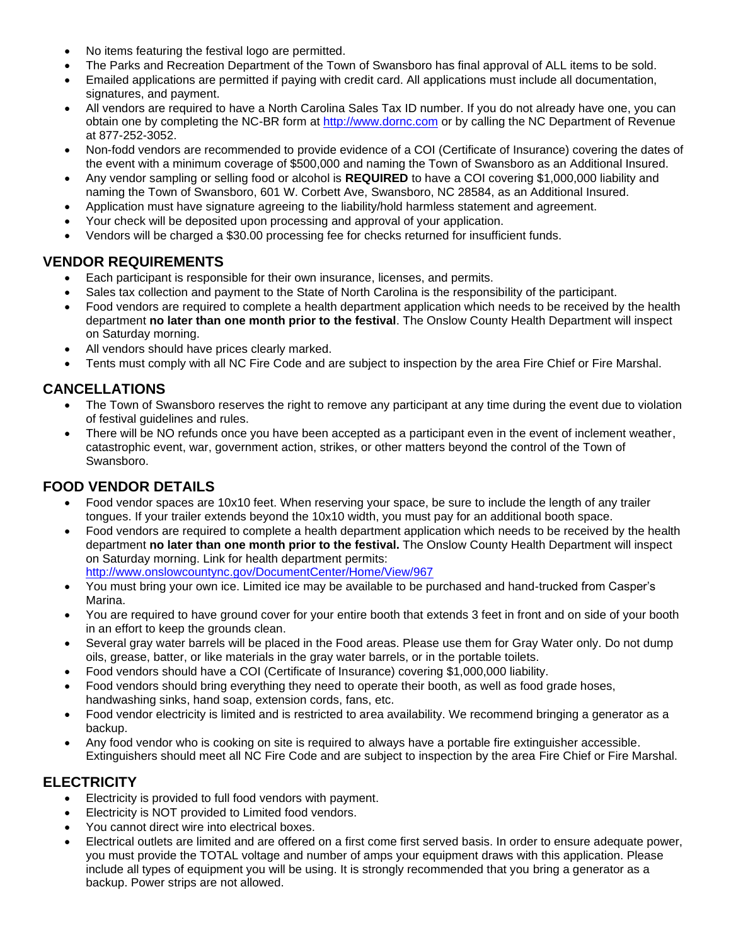- No items featuring the festival logo are permitted.
- The Parks and Recreation Department of the Town of Swansboro has final approval of ALL items to be sold.
- Emailed applications are permitted if paying with credit card. All applications must include all documentation, signatures, and payment.
- All vendors are required to have a North Carolina Sales Tax ID number. If you do not already have one, you can obtain one by completing the NC-BR form at [http://www.dornc.com](http://www.dornc.com/) or by calling the NC Department of Revenue at 877-252-3052.
- Non-fodd vendors are recommended to provide evidence of a COI (Certificate of Insurance) covering the dates of the event with a minimum coverage of \$500,000 and naming the Town of Swansboro as an Additional Insured.
- Any vendor sampling or selling food or alcohol is **REQUIRED** to have a COI covering \$1,000,000 liability and naming the Town of Swansboro, 601 W. Corbett Ave, Swansboro, NC 28584, as an Additional Insured.
- Application must have signature agreeing to the liability/hold harmless statement and agreement.
- Your check will be deposited upon processing and approval of your application.
- Vendors will be charged a \$30.00 processing fee for checks returned for insufficient funds.

#### **VENDOR REQUIREMENTS**

- Each participant is responsible for their own insurance, licenses, and permits.
- Sales tax collection and payment to the State of North Carolina is the responsibility of the participant.
- Food vendors are required to complete a health department application which needs to be received by the health department **no later than one month prior to the festival**. The Onslow County Health Department will inspect on Saturday morning.
- All vendors should have prices clearly marked.
- Tents must comply with all NC Fire Code and are subject to inspection by the area Fire Chief or Fire Marshal.

# **CANCELLATIONS**

- The Town of Swansboro reserves the right to remove any participant at any time during the event due to violation of festival guidelines and rules.
- There will be NO refunds once you have been accepted as a participant even in the event of inclement weather, catastrophic event, war, government action, strikes, or other matters beyond the control of the Town of Swansboro.

# **FOOD VENDOR DETAILS**

- Food vendor spaces are 10x10 feet. When reserving your space, be sure to include the length of any trailer tongues. If your trailer extends beyond the 10x10 width, you must pay for an additional booth space.
- Food vendors are required to complete a health department application which needs to be received by the health department **no later than one month prior to the festival.** The Onslow County Health Department will inspect on Saturday morning. Link for health department permits: <http://www.onslowcountync.gov/DocumentCenter/Home/View/967>
- You must bring your own ice. Limited ice may be available to be purchased and hand-trucked from Casper's Marina.
- You are required to have ground cover for your entire booth that extends 3 feet in front and on side of your booth in an effort to keep the grounds clean.
- Several gray water barrels will be placed in the Food areas. Please use them for Gray Water only. Do not dump oils, grease, batter, or like materials in the gray water barrels, or in the portable toilets.
- Food vendors should have a COI (Certificate of Insurance) covering \$1,000,000 liability.
- Food vendors should bring everything they need to operate their booth, as well as food grade hoses, handwashing sinks, hand soap, extension cords, fans, etc.
- Food vendor electricity is limited and is restricted to area availability. We recommend bringing a generator as a backup.
- Any food vendor who is cooking on site is required to always have a portable fire extinguisher accessible. Extinguishers should meet all NC Fire Code and are subject to inspection by the area Fire Chief or Fire Marshal.

# **ELECTRICITY**

- Electricity is provided to full food vendors with payment.
- Electricity is NOT provided to Limited food vendors.
- You cannot direct wire into electrical boxes.
- Electrical outlets are limited and are offered on a first come first served basis. In order to ensure adequate power, you must provide the TOTAL voltage and number of amps your equipment draws with this application. Please include all types of equipment you will be using. It is strongly recommended that you bring a generator as a backup. Power strips are not allowed.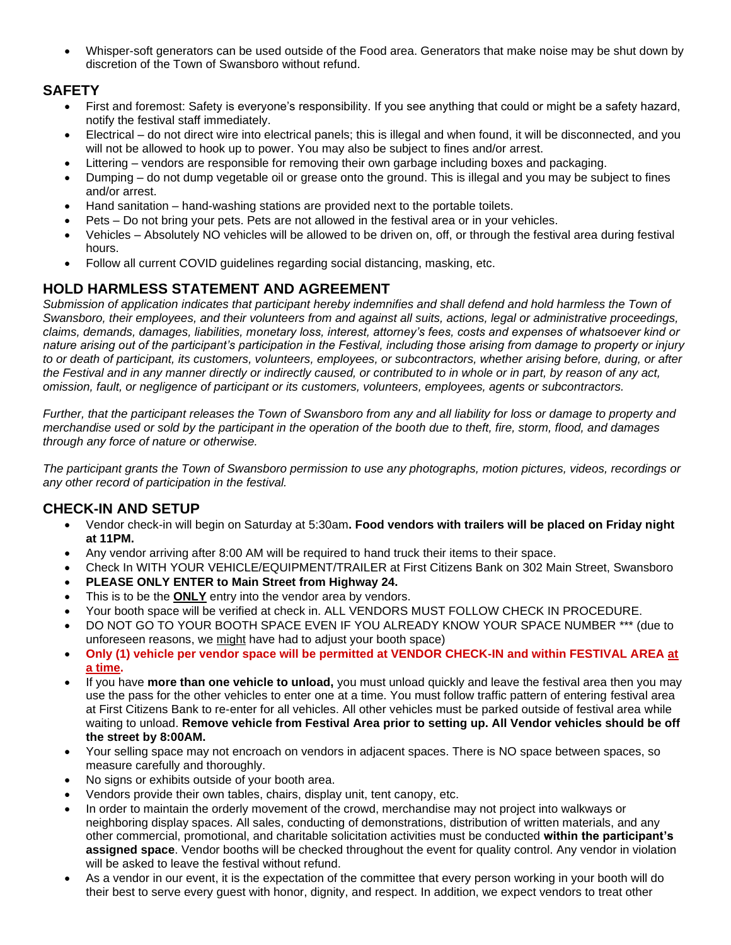• Whisper-soft generators can be used outside of the Food area. Generators that make noise may be shut down by discretion of the Town of Swansboro without refund.

#### **SAFETY**

- First and foremost: Safety is everyone's responsibility. If you see anything that could or might be a safety hazard, notify the festival staff immediately.
- Electrical do not direct wire into electrical panels; this is illegal and when found, it will be disconnected, and you will not be allowed to hook up to power. You may also be subject to fines and/or arrest.
- Littering vendors are responsible for removing their own garbage including boxes and packaging.
- Dumping do not dump vegetable oil or grease onto the ground. This is illegal and you may be subject to fines and/or arrest.
- Hand sanitation hand-washing stations are provided next to the portable toilets.
- Pets Do not bring your pets. Pets are not allowed in the festival area or in your vehicles.
- Vehicles Absolutely NO vehicles will be allowed to be driven on, off, or through the festival area during festival hours.
- Follow all current COVID guidelines regarding social distancing, masking, etc.

# **HOLD HARMLESS STATEMENT AND AGREEMENT**

*Submission of application indicates that participant hereby indemnifies and shall defend and hold harmless the Town of Swansboro, their employees, and their volunteers from and against all suits, actions, legal or administrative proceedings, claims, demands, damages, liabilities, monetary loss, interest, attorney's fees, costs and expenses of whatsoever kind or nature arising out of the participant's participation in the Festival, including those arising from damage to property or injury to or death of participant, its customers, volunteers, employees, or subcontractors, whether arising before, during, or after the Festival and in any manner directly or indirectly caused, or contributed to in whole or in part, by reason of any act, omission, fault, or negligence of participant or its customers, volunteers, employees, agents or subcontractors.*

*Further, that the participant releases the Town of Swansboro from any and all liability for loss or damage to property and merchandise used or sold by the participant in the operation of the booth due to theft, fire, storm, flood, and damages through any force of nature or otherwise.*

*The participant grants the Town of Swansboro permission to use any photographs, motion pictures, videos, recordings or any other record of participation in the festival.*

#### **CHECK-IN AND SETUP**

- Vendor check-in will begin on Saturday at 5:30am**. Food vendors with trailers will be placed on Friday night at 11PM.**
- Any vendor arriving after 8:00 AM will be required to hand truck their items to their space.
- Check In WITH YOUR VEHICLE/EQUIPMENT/TRAILER at First Citizens Bank on 302 Main Street, Swansboro
- **PLEASE ONLY ENTER to Main Street from Highway 24.**
- This is to be the **ONLY** entry into the vendor area by vendors.
- Your booth space will be verified at check in. ALL VENDORS MUST FOLLOW CHECK IN PROCEDURE.
- DO NOT GO TO YOUR BOOTH SPACE EVEN IF YOU ALREADY KNOW YOUR SPACE NUMBER \*\*\* (due to unforeseen reasons, we might have had to adjust your booth space)
- **Only (1) vehicle per vendor space will be permitted at VENDOR CHECK-IN and within FESTIVAL AREA at a time.**
- If you have **more than one vehicle to unload,** you must unload quickly and leave the festival area then you may use the pass for the other vehicles to enter one at a time. You must follow traffic pattern of entering festival area at First Citizens Bank to re-enter for all vehicles. All other vehicles must be parked outside of festival area while waiting to unload. **Remove vehicle from Festival Area prior to setting up. All Vendor vehicles should be off the street by 8:00AM.**
- Your selling space may not encroach on vendors in adjacent spaces. There is NO space between spaces, so measure carefully and thoroughly.
- No signs or exhibits outside of your booth area.
- Vendors provide their own tables, chairs, display unit, tent canopy, etc.
- In order to maintain the orderly movement of the crowd, merchandise may not project into walkways or neighboring display spaces. All sales, conducting of demonstrations, distribution of written materials, and any other commercial, promotional, and charitable solicitation activities must be conducted **within the participant's assigned space**. Vendor booths will be checked throughout the event for quality control. Any vendor in violation will be asked to leave the festival without refund.
- As a vendor in our event, it is the expectation of the committee that every person working in your booth will do their best to serve every guest with honor, dignity, and respect. In addition, we expect vendors to treat other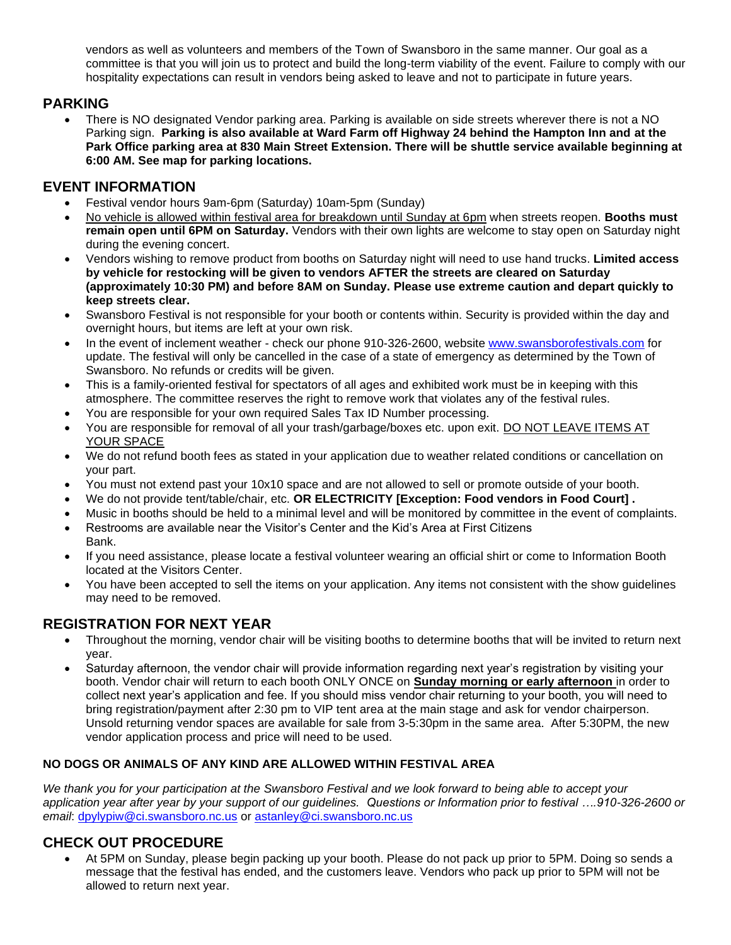vendors as well as volunteers and members of the Town of Swansboro in the same manner. Our goal as a committee is that you will join us to protect and build the long-term viability of the event. Failure to comply with our hospitality expectations can result in vendors being asked to leave and not to participate in future years.

#### **PARKING**

• There is NO designated Vendor parking area. Parking is available on side streets wherever there is not a NO Parking sign. **Parking is also available at Ward Farm off Highway 24 behind the Hampton Inn and at the Park Office parking area at 830 Main Street Extension. There will be shuttle service available beginning at 6:00 AM. See map for parking locations.**

#### **EVENT INFORMATION**

- Festival vendor hours 9am-6pm (Saturday) 10am-5pm (Sunday)
- No vehicle is allowed within festival area for breakdown until Sunday at 6pm when streets reopen. **Booths must remain open until 6PM on Saturday.** Vendors with their own lights are welcome to stay open on Saturday night during the evening concert.
- Vendors wishing to remove product from booths on Saturday night will need to use hand trucks. **Limited access by vehicle for restocking will be given to vendors AFTER the streets are cleared on Saturday (approximately 10:30 PM) and before 8AM on Sunday. Please use extreme caution and depart quickly to keep streets clear.**
- Swansboro Festival is not responsible for your booth or contents within. Security is provided within the day and overnight hours, but items are left at your own risk.
- In the event of inclement weather check our phone 910-326-2600, website [www.swansborofestivals.com](http://www.swansborofestivals.com/) for update. The festival will only be cancelled in the case of a state of emergency as determined by the Town of Swansboro. No refunds or credits will be given.
- This is a family-oriented festival for spectators of all ages and exhibited work must be in keeping with this atmosphere. The committee reserves the right to remove work that violates any of the festival rules.
- You are responsible for your own required Sales Tax ID Number processing.
- You are responsible for removal of all your trash/garbage/boxes etc. upon exit. DO NOT LEAVE ITEMS AT YOUR SPACE
- We do not refund booth fees as stated in your application due to weather related conditions or cancellation on your part.
- You must not extend past your 10x10 space and are not allowed to sell or promote outside of your booth.
- We do not provide tent/table/chair, etc. **OR ELECTRICITY [Exception: Food vendors in Food Court] .**
- Music in booths should be held to a minimal level and will be monitored by committee in the event of complaints.
- Restrooms are available near the Visitor's Center and the Kid's Area at First Citizens Bank.
- If you need assistance, please locate a festival volunteer wearing an official shirt or come to Information Booth located at the Visitors Center.
- You have been accepted to sell the items on your application. Any items not consistent with the show guidelines may need to be removed.

# **REGISTRATION FOR NEXT YEAR**

- Throughout the morning, vendor chair will be visiting booths to determine booths that will be invited to return next year.
- Saturday afternoon, the vendor chair will provide information regarding next year's registration by visiting your booth. Vendor chair will return to each booth ONLY ONCE on **Sunday morning or early afternoon** in order to collect next year's application and fee. If you should miss vendor chair returning to your booth, you will need to bring registration/payment after 2:30 pm to VIP tent area at the main stage and ask for vendor chairperson. Unsold returning vendor spaces are available for sale from 3-5:30pm in the same area. After 5:30PM, the new vendor application process and price will need to be used.

#### **NO DOGS OR ANIMALS OF ANY KIND ARE ALLOWED WITHIN FESTIVAL AREA**

*We thank you for your participation at the Swansboro Festival and we look forward to being able to accept your application year after year by your support of our guidelines.**Questions or Information prior to festival ….910-326-2600 or email*: [dpylypiw@ci.swansboro.nc.us](mailto:dpylypiw@ci.swansboro.nc.us) or [astanley@ci.swansboro.nc.us](mailto:astanley@ci.swansboro.nc.us)

# **CHECK OUT PROCEDURE**

• At 5PM on Sunday, please begin packing up your booth. Please do not pack up prior to 5PM. Doing so sends a message that the festival has ended, and the customers leave. Vendors who pack up prior to 5PM will not be allowed to return next year.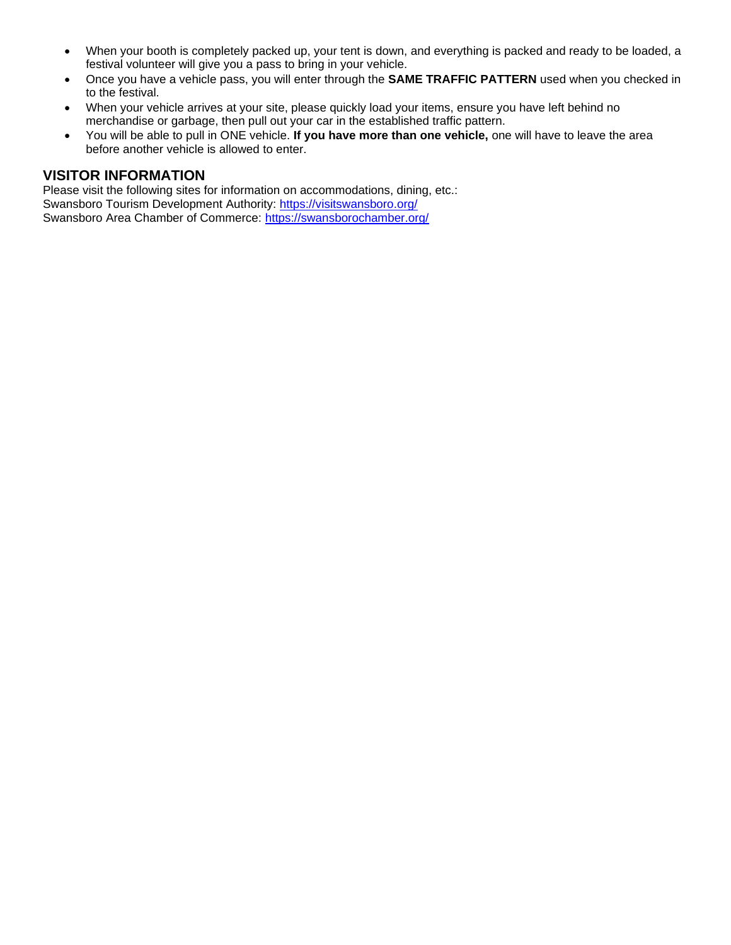- When your booth is completely packed up, your tent is down, and everything is packed and ready to be loaded, a festival volunteer will give you a pass to bring in your vehicle.
- Once you have a vehicle pass, you will enter through the **SAME TRAFFIC PATTERN** used when you checked in to the festival.
- When your vehicle arrives at your site, please quickly load your items, ensure you have left behind no merchandise or garbage, then pull out your car in the established traffic pattern.
- You will be able to pull in ONE vehicle. **If you have more than one vehicle,** one will have to leave the area before another vehicle is allowed to enter.

#### **VISITOR INFORMATION**

Please visit the following sites for information on accommodations, dining, etc.: Swansboro Tourism Development Authority:<https://visitswansboro.org/> Swansboro Area Chamber of Commerce:<https://swansborochamber.org/>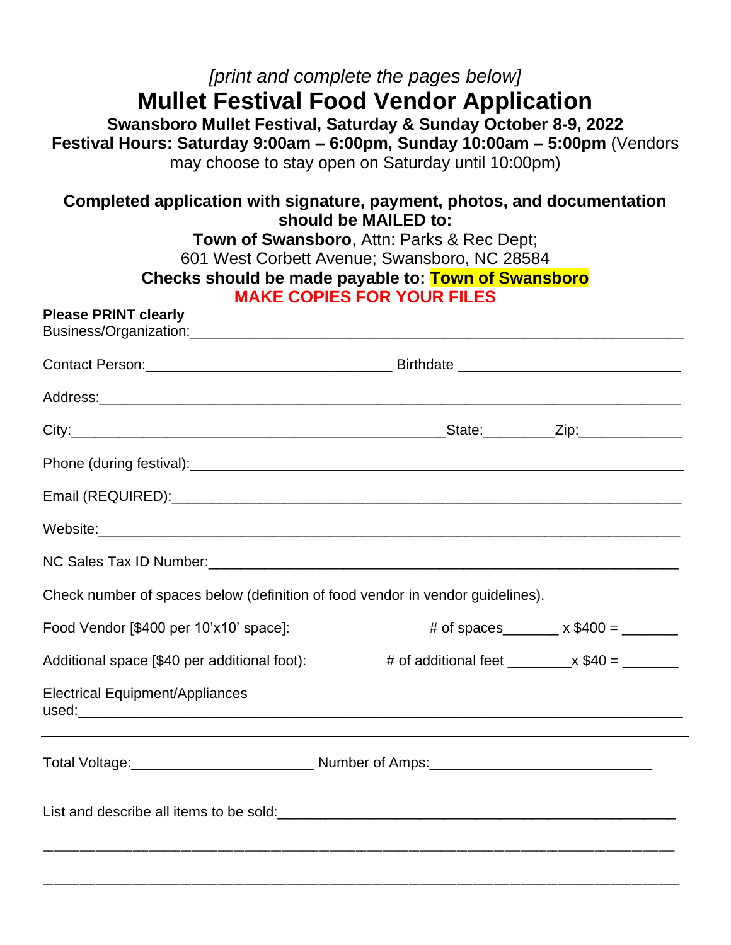# *[print and complete the pages below]* **Mullet Festival Food Vendor Application**

**Swansboro Mullet Festival, Saturday & Sunday October 8-9, 2022 Festival Hours: Saturday 9:00am – 6:00pm, Sunday 10:00am – 5:00pm** (Vendors may choose to stay open on Saturday until 10:00pm)

| Completed application with signature, payment, photos, and documentation<br>should be MAILED to:<br>Town of Swansboro, Attn: Parks & Rec Dept;<br>601 West Corbett Avenue; Swansboro, NC 28584<br>Checks should be made payable to: Town of Swansboro<br><b>MAKE COPIES FOR YOUR FILES</b> |                                                           |                                            |  |  |  |
|--------------------------------------------------------------------------------------------------------------------------------------------------------------------------------------------------------------------------------------------------------------------------------------------|-----------------------------------------------------------|--------------------------------------------|--|--|--|
| <b>Please PRINT clearly</b>                                                                                                                                                                                                                                                                |                                                           |                                            |  |  |  |
|                                                                                                                                                                                                                                                                                            |                                                           |                                            |  |  |  |
|                                                                                                                                                                                                                                                                                            |                                                           |                                            |  |  |  |
|                                                                                                                                                                                                                                                                                            |                                                           |                                            |  |  |  |
|                                                                                                                                                                                                                                                                                            |                                                           |                                            |  |  |  |
|                                                                                                                                                                                                                                                                                            |                                                           |                                            |  |  |  |
|                                                                                                                                                                                                                                                                                            |                                                           |                                            |  |  |  |
|                                                                                                                                                                                                                                                                                            |                                                           |                                            |  |  |  |
| Check number of spaces below (definition of food vendor in vendor guidelines).                                                                                                                                                                                                             |                                                           |                                            |  |  |  |
| Food Vendor [\$400 per 10'x10' space]:                                                                                                                                                                                                                                                     |                                                           | # of spaces_______ $\times$ \$400 = ______ |  |  |  |
| Additional space [\$40 per additional foot):                                                                                                                                                                                                                                               | # of additional feet $\frac{1}{2}$ x \$40 = $\frac{1}{2}$ |                                            |  |  |  |
| Electrical Equipment/Appliances                                                                                                                                                                                                                                                            |                                                           |                                            |  |  |  |
|                                                                                                                                                                                                                                                                                            |                                                           |                                            |  |  |  |
| List and describe all items to be sold:<br><u> and</u> the sold:<br><u> and the sold: <br/> and the sold: <br/> and the sold: <br/> and the sold: <br/> and the sold: <br/> and the sold: <br/> and the sold: <br/> and the sold: <br/> and the sold: <br/> and the sold: <br/> </u>       |                                                           |                                            |  |  |  |
|                                                                                                                                                                                                                                                                                            |                                                           |                                            |  |  |  |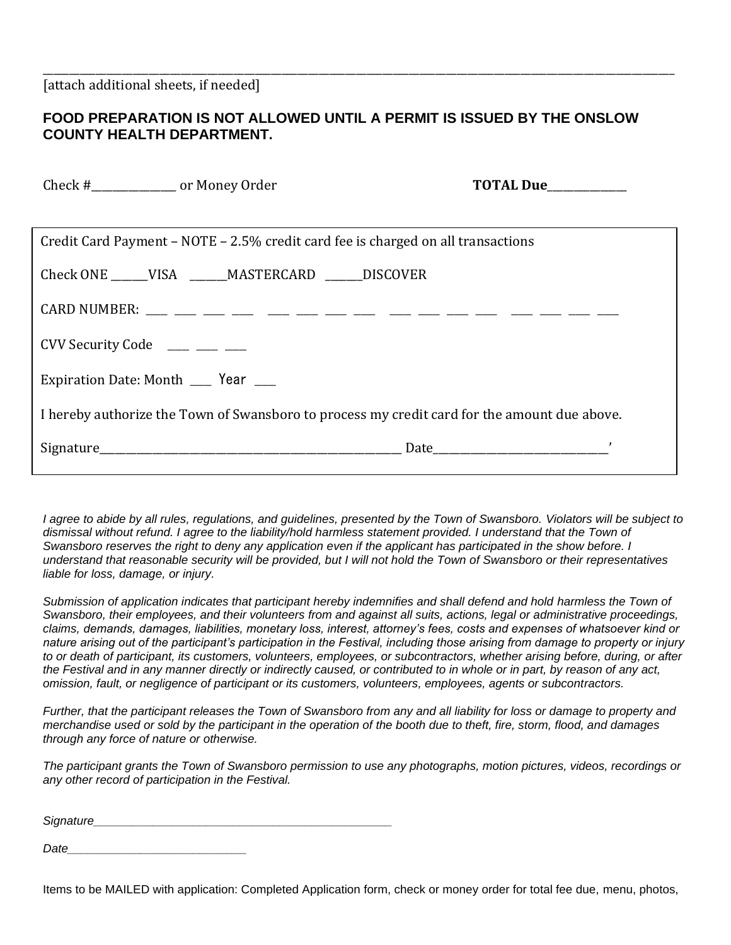#### **FOOD PREPARATION IS NOT ALLOWED UNTIL A PERMIT IS ISSUED BY THE ONSLOW COUNTY HEALTH DEPARTMENT.**

\_\_\_\_\_\_\_\_\_\_\_\_\_\_\_\_\_\_\_\_\_\_\_\_\_\_\_\_\_\_\_\_\_\_\_\_\_\_\_\_\_\_\_\_\_\_\_\_\_\_\_\_\_\_\_\_\_\_\_\_\_\_\_\_\_\_\_\_\_\_\_\_\_\_\_\_\_\_\_\_\_\_\_\_\_\_\_\_\_\_\_\_\_\_\_\_\_\_\_\_\_\_\_\_\_\_\_\_\_\_\_\_\_\_\_\_\_\_\_

| Check #_______________ or Money Order                                                        |                                                          | TOTAL Due__________ |  |  |  |
|----------------------------------------------------------------------------------------------|----------------------------------------------------------|---------------------|--|--|--|
|                                                                                              |                                                          |                     |  |  |  |
| Credit Card Payment – NOTE – 2.5% credit card fee is charged on all transactions             |                                                          |                     |  |  |  |
|                                                                                              | Check ONE ______ VISA _______ MASTERCARD ______ DISCOVER |                     |  |  |  |
|                                                                                              |                                                          |                     |  |  |  |
| CVV Security Code $\_\_\_\_\_\_\_\_\_\_\_\_\_\_\_\_\_\_$                                     |                                                          |                     |  |  |  |
| Expiration Date: Month ____ Year ___                                                         |                                                          |                     |  |  |  |
| I hereby authorize the Town of Swansboro to process my credit card for the amount due above. |                                                          |                     |  |  |  |
|                                                                                              |                                                          |                     |  |  |  |

*I agree to abide by all rules, regulations, and guidelines, presented by the Town of Swansboro. Violators will be subject to*  dismissal without refund. I agree to the liability/hold harmless statement provided. I understand that the Town of *Swansboro reserves the right to deny any application even if the applicant has participated in the show before. I understand that reasonable security will be provided, but I will not hold the Town of Swansboro or their representatives liable for loss, damage, or injury.*

*Submission of application indicates that participant hereby indemnifies and shall defend and hold harmless the Town of Swansboro, their employees, and their volunteers from and against all suits, actions, legal or administrative proceedings, claims, demands, damages, liabilities, monetary loss, interest, attorney's fees, costs and expenses of whatsoever kind or nature arising out of the participant's participation in the Festival, including those arising from damage to property or injury to or death of participant, its customers, volunteers, employees, or subcontractors, whether arising before, during, or after the Festival and in any manner directly or indirectly caused, or contributed to in whole or in part, by reason of any act, omission, fault, or negligence of participant or its customers, volunteers, employees, agents or subcontractors.*

*Further, that the participant releases the Town of Swansboro from any and all liability for loss or damage to property and merchandise used or sold by the participant in the operation of the booth due to theft, fire, storm, flood, and damages through any force of nature or otherwise.*

*The participant grants the Town of Swansboro permission to use any photographs, motion pictures, videos, recordings or any other record of participation in the Festival.*

| Signature |  |  |
|-----------|--|--|
|           |  |  |

*Date\_\_\_\_\_\_\_\_\_\_\_\_\_\_\_\_\_\_\_\_\_\_\_\_\_\_\_*

Items to be MAILED with application: Completed Application form, check or money order for total fee due, menu, photos,